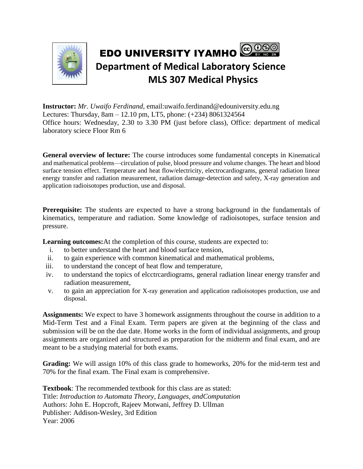

**Instructor:** *Mr. Uwaifo Ferdinand*, email:uwaifo.ferdinand@edouniversity.edu.ng Lectures: Thursday, 8am – 12.10 pm, LT5, phone: (+234) 8061324564 Office hours: Wednesday, 2.30 to 3.30 PM (just before class), Office: department of medical laboratory sciece Floor Rm 6

**General overview of lecture:** The course introduces some fundamental concepts in Kinematical and mathematical problems—circulation of pulse, blood pressure and volume changes. The heart and blood surface tension effect. Temperature and heat flow/electricity, electrocardiograms, general radiation linear energy transfer and radiation measurement, radiation damage-detection and safety, X-ray generation and application radioisotopes production, use and disposal.

**Prerequisite:** The students are expected to have a strong background in the fundamentals of kinematics, temperature and radiation. Some knowledge of radioisotopes, surface tension and pressure.

**Learning outcomes:**At the completion of this course, students are expected to:

- i. to better understand the heart and blood surface tension,
- ii. to gain experience with common kinematical and mathematical problems,
- iii. to understand the concept of heat flow and temperature,
- iv. to understand the topics of elcctrcardiograms, general radiation linear energy transfer and radiation measurement,
- v. to gain an appreciation for X-ray generation and application radioisotopes production, use and disposal.

**Assignments:** We expect to have 3 homework assignments throughout the course in addition to a Mid-Term Test and a Final Exam. Term papers are given at the beginning of the class and submission will be on the due date. Home works in the form of individual assignments, and group assignments are organized and structured as preparation for the midterm and final exam, and are meant to be a studying material for both exams.

**Grading:** We will assign 10% of this class grade to homeworks, 20% for the mid-term test and 70% for the final exam. The Final exam is comprehensive.

**Textbook**: The recommended textbook for this class are as stated: Title: *Introduction to Automata Theory, Languages, andComputation* Authors: John E. Hopcroft, Rajeev Motwani, Jeffrey D. Ullman Publisher: Addison-Wesley, 3rd Edition Year: 2006